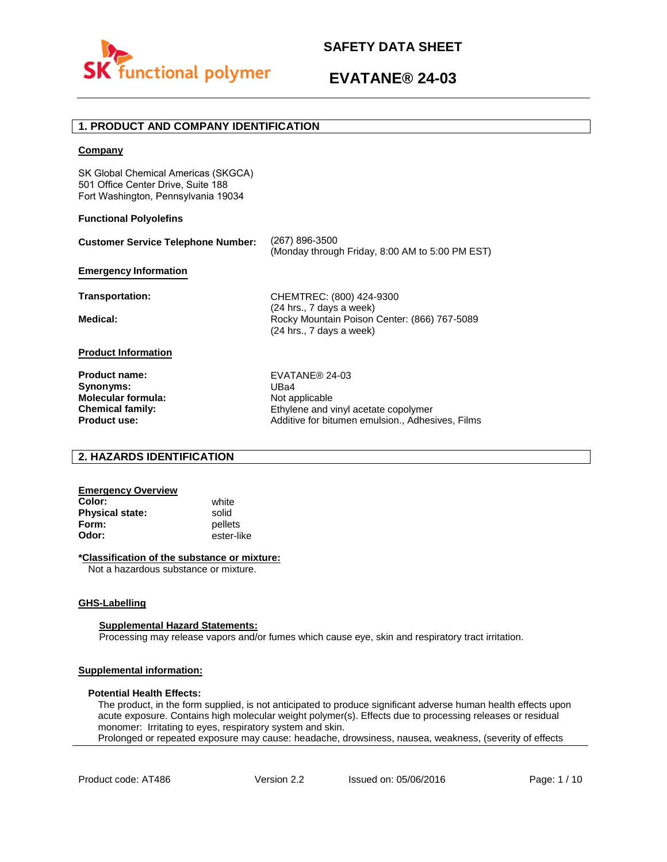

Additive for bitumen emulsion., Adhesives, Films

# **1. PRODUCT AND COMPANY IDENTIFICATION**

### **Company**

SK Global Chemical Americas (SKGCA) 501 Office Center Drive, Suite 188 Fort Washington, Pennsylvania 19034

### **Functional Polyolefins**

| <b>Customer Service Telephone Number:</b> | (267) 896-3500<br>(Monday through Friday, 8:00 AM to 5:00 PM EST)                                    |
|-------------------------------------------|------------------------------------------------------------------------------------------------------|
| <b>Emergency Information</b>              |                                                                                                      |
| Transportation:                           | CHEMTREC: (800) 424-9300                                                                             |
| Medical:                                  | (24 hrs., 7 days a week)<br>Rocky Mountain Poison Center: (866) 767-5089<br>(24 hrs., 7 days a week) |
| <b>Product Information</b>                |                                                                                                      |
| <b>Product name:</b>                      | EVATANE <sup>®</sup> 24-03                                                                           |
| Synonyms:                                 | UBa4                                                                                                 |
| <b>Molecular formula:</b>                 | Not applicable                                                                                       |
| <b>Chemical family:</b>                   | Ethylene and vinyl acetate copolymer                                                                 |

## **2. HAZARDS IDENTIFICATION**

## **Emergency Overview**

**Color:** white **Physical state:** solid<br> **Form:** nellet **Form:** pellets<br> **Odor:** ester-li

**Product use:**

**Odor:** ester-like

### **\*Classification of the substance or mixture:**

Not a hazardous substance or mixture.

### **GHS-Labelling**

### **Supplemental Hazard Statements:**

Processing may release vapors and/or fumes which cause eye, skin and respiratory tract irritation.

## **Supplemental information:**

### **Potential Health Effects:**

The product, in the form supplied, is not anticipated to produce significant adverse human health effects upon acute exposure. Contains high molecular weight polymer(s). Effects due to processing releases or residual monomer: Irritating to eyes, respiratory system and skin. Prolonged or repeated exposure may cause: headache, drowsiness, nausea, weakness, (severity of effects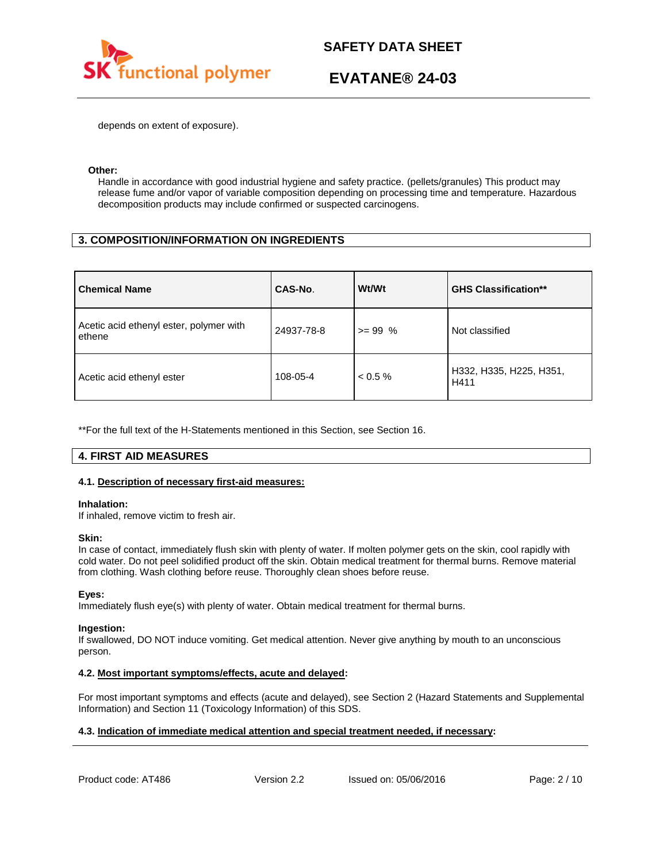

depends on extent of exposure).

### **Other:**

Handle in accordance with good industrial hygiene and safety practice. (pellets/granules) This product may release fume and/or vapor of variable composition depending on processing time and temperature. Hazardous decomposition products may include confirmed or suspected carcinogens.

# **3. COMPOSITION/INFORMATION ON INGREDIENTS**

| <b>Chemical Name</b>                              | CAS-No.    | Wt/Wt      | <b>GHS Classification**</b>     |
|---------------------------------------------------|------------|------------|---------------------------------|
| Acetic acid ethenyl ester, polymer with<br>ethene | 24937-78-8 | $>= 99\%$  | Not classified                  |
| Acetic acid ethenyl ester                         | 108-05-4   | $< 0.5 \%$ | H332, H335, H225, H351,<br>H411 |

\*\*For the full text of the H-Statements mentioned in this Section, see Section 16.

# **4. FIRST AID MEASURES**

## **4.1. Description of necessary first-aid measures:**

### **Inhalation:**

If inhaled, remove victim to fresh air.

### **Skin:**

In case of contact, immediately flush skin with plenty of water. If molten polymer gets on the skin, cool rapidly with cold water. Do not peel solidified product off the skin. Obtain medical treatment for thermal burns. Remove material from clothing. Wash clothing before reuse. Thoroughly clean shoes before reuse.

## **Eyes:**

Immediately flush eye(s) with plenty of water. Obtain medical treatment for thermal burns.

### **Ingestion:**

If swallowed, DO NOT induce vomiting. Get medical attention. Never give anything by mouth to an unconscious person.

## **4.2. Most important symptoms/effects, acute and delayed:**

For most important symptoms and effects (acute and delayed), see Section 2 (Hazard Statements and Supplemental Information) and Section 11 (Toxicology Information) of this SDS.

## **4.3. Indication of immediate medical attention and special treatment needed, if necessary:**

Product code: AT486 Version 2.2 Issued on: 05/06/2016 Page: 2/10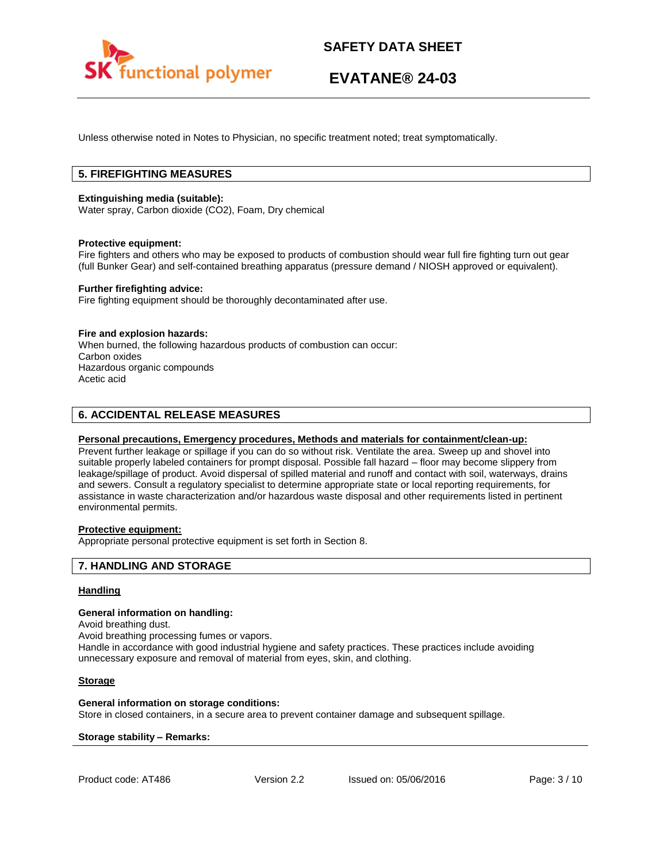

Unless otherwise noted in Notes to Physician, no specific treatment noted; treat symptomatically.

# **5. FIREFIGHTING MEASURES**

### **Extinguishing media (suitable):**

Water spray, Carbon dioxide (CO2), Foam, Dry chemical

### **Protective equipment:**

Fire fighters and others who may be exposed to products of combustion should wear full fire fighting turn out gear (full Bunker Gear) and self-contained breathing apparatus (pressure demand / NIOSH approved or equivalent).

### **Further firefighting advice:**

Fire fighting equipment should be thoroughly decontaminated after use.

### **Fire and explosion hazards:**

When burned, the following hazardous products of combustion can occur: Carbon oxides Hazardous organic compounds Acetic acid

# **6. ACCIDENTAL RELEASE MEASURES**

### **Personal precautions, Emergency procedures, Methods and materials for containment/clean-up:**

Prevent further leakage or spillage if you can do so without risk. Ventilate the area. Sweep up and shovel into suitable properly labeled containers for prompt disposal. Possible fall hazard – floor may become slippery from leakage/spillage of product. Avoid dispersal of spilled material and runoff and contact with soil, waterways, drains and sewers. Consult a regulatory specialist to determine appropriate state or local reporting requirements, for assistance in waste characterization and/or hazardous waste disposal and other requirements listed in pertinent environmental permits.

# **Protective equipment:**

Appropriate personal protective equipment is set forth in Section 8.

## **7. HANDLING AND STORAGE**

### **Handling**

### **General information on handling:**

Avoid breathing dust.

Avoid breathing processing fumes or vapors.

Handle in accordance with good industrial hygiene and safety practices. These practices include avoiding unnecessary exposure and removal of material from eyes, skin, and clothing.

### **Storage**

### **General information on storage conditions:**

Store in closed containers, in a secure area to prevent container damage and subsequent spillage.

### **Storage stability – Remarks:**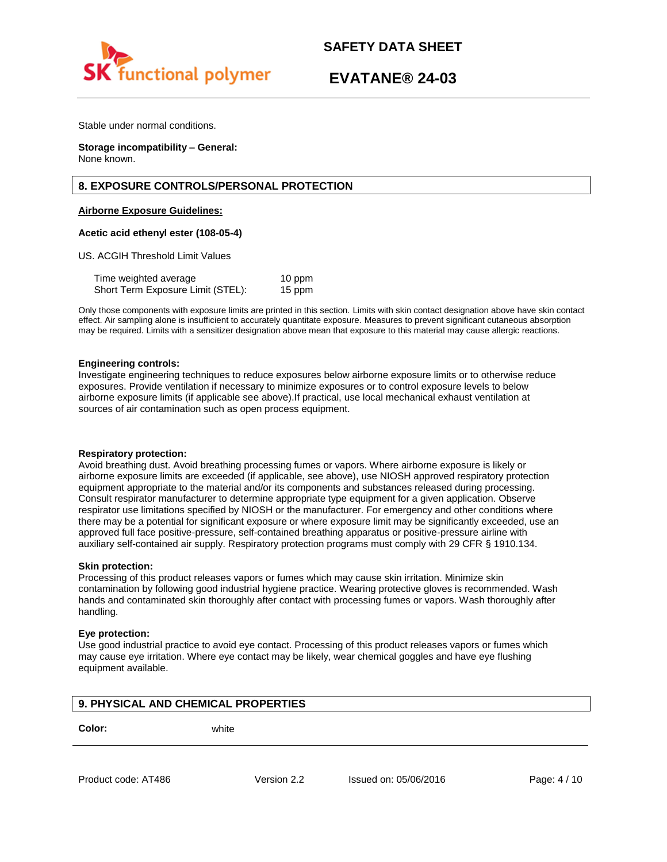

Stable under normal conditions.

**Storage incompatibility – General:**  None known.

## **8. EXPOSURE CONTROLS/PERSONAL PROTECTION**

### **Airborne Exposure Guidelines:**

### **Acetic acid ethenyl ester (108-05-4)**

US. ACGIH Threshold Limit Values

Time weighted average 10 ppm Short Term Exposure Limit (STEL): 15 ppm

Only those components with exposure limits are printed in this section. Limits with skin contact designation above have skin contact effect. Air sampling alone is insufficient to accurately quantitate exposure. Measures to prevent significant cutaneous absorption may be required. Limits with a sensitizer designation above mean that exposure to this material may cause allergic reactions.

### **Engineering controls:**

Investigate engineering techniques to reduce exposures below airborne exposure limits or to otherwise reduce exposures. Provide ventilation if necessary to minimize exposures or to control exposure levels to below airborne exposure limits (if applicable see above).If practical, use local mechanical exhaust ventilation at sources of air contamination such as open process equipment.

### **Respiratory protection:**

Avoid breathing dust. Avoid breathing processing fumes or vapors. Where airborne exposure is likely or airborne exposure limits are exceeded (if applicable, see above), use NIOSH approved respiratory protection equipment appropriate to the material and/or its components and substances released during processing. Consult respirator manufacturer to determine appropriate type equipment for a given application. Observe respirator use limitations specified by NIOSH or the manufacturer. For emergency and other conditions where there may be a potential for significant exposure or where exposure limit may be significantly exceeded, use an approved full face positive-pressure, self-contained breathing apparatus or positive-pressure airline with auxiliary self-contained air supply. Respiratory protection programs must comply with 29 CFR § 1910.134.

### **Skin protection:**

Processing of this product releases vapors or fumes which may cause skin irritation. Minimize skin contamination by following good industrial hygiene practice. Wearing protective gloves is recommended. Wash hands and contaminated skin thoroughly after contact with processing fumes or vapors. Wash thoroughly after handling.

### **Eye protection:**

Use good industrial practice to avoid eye contact. Processing of this product releases vapors or fumes which may cause eye irritation. Where eye contact may be likely, wear chemical goggles and have eye flushing equipment available.

# **9. PHYSICAL AND CHEMICAL PROPERTIES**

**Color:** white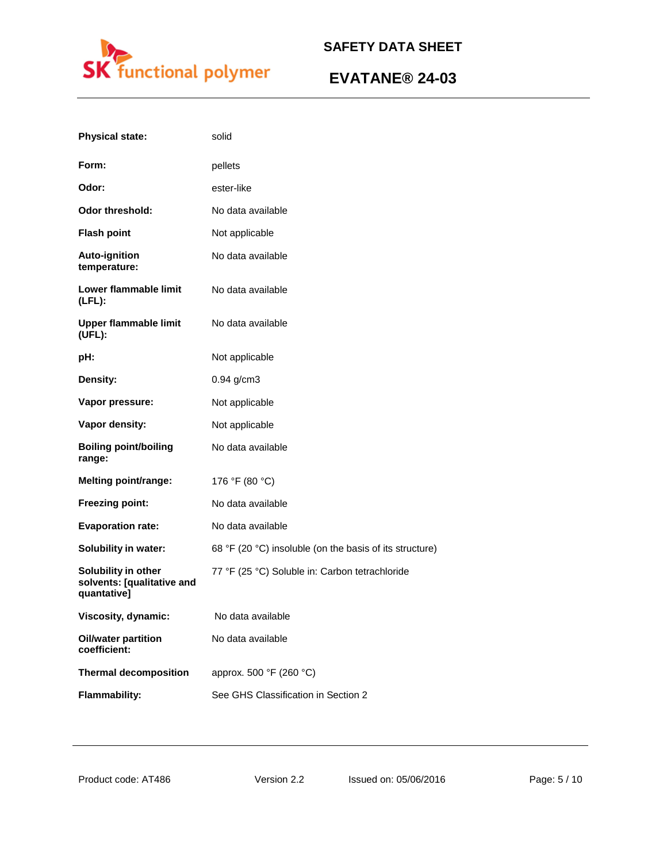

| <b>Physical state:</b>                                           | solid                                                   |
|------------------------------------------------------------------|---------------------------------------------------------|
| Form:                                                            | pellets                                                 |
| Odor:                                                            | ester-like                                              |
| <b>Odor threshold:</b>                                           | No data available                                       |
| <b>Flash point</b>                                               | Not applicable                                          |
| <b>Auto-ignition</b><br>temperature:                             | No data available                                       |
| Lower flammable limit<br>$(LFL)$ :                               | No data available                                       |
| <b>Upper flammable limit</b><br>(UEL):                           | No data available                                       |
| pH:                                                              | Not applicable                                          |
| Density:                                                         | $0.94$ g/cm3                                            |
| Vapor pressure:                                                  | Not applicable                                          |
| Vapor density:                                                   | Not applicable                                          |
| <b>Boiling point/boiling</b><br>range:                           | No data available                                       |
| <b>Melting point/range:</b>                                      | 176 °F (80 °C)                                          |
| Freezing point:                                                  | No data available                                       |
| <b>Evaporation rate:</b>                                         | No data available                                       |
| <b>Solubility in water:</b>                                      | 68 °F (20 °C) insoluble (on the basis of its structure) |
| Solubility in other<br>solvents: [qualitative and<br>quantative] | 77 °F (25 °C) Soluble in: Carbon tetrachloride          |
| Viscosity, dynamic:                                              | No data available                                       |
| <b>Oil/water partition</b><br>coefficient:                       | No data available                                       |
| <b>Thermal decomposition</b>                                     | approx. 500 °F (260 °C)                                 |
| <b>Flammability:</b>                                             | See GHS Classification in Section 2                     |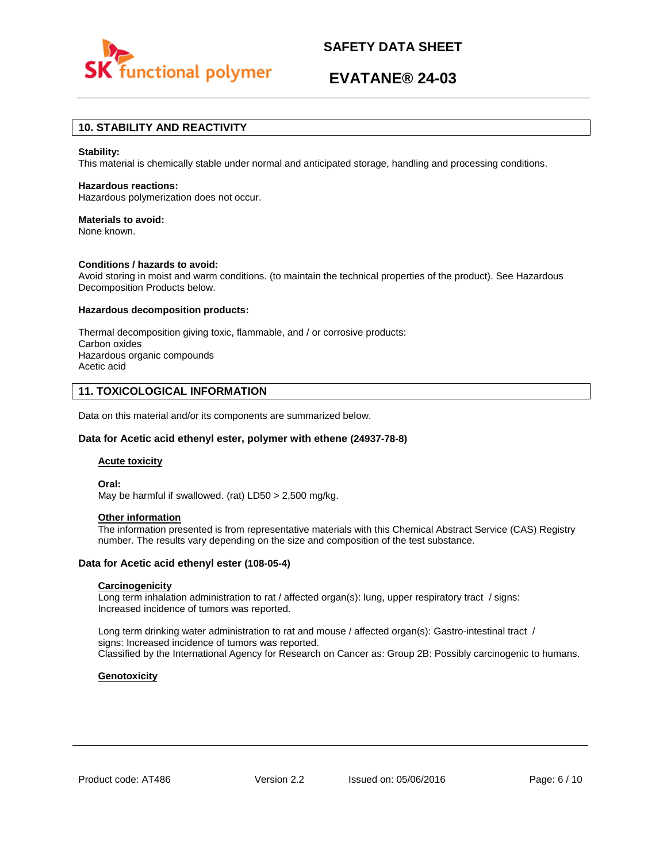

# **EVATANE® 24-03**

# **10. STABILITY AND REACTIVITY**

### **Stability:**

This material is chemically stable under normal and anticipated storage, handling and processing conditions.

#### **Hazardous reactions:**

Hazardous polymerization does not occur.

### **Materials to avoid:**

None known.

#### **Conditions / hazards to avoid:**

Avoid storing in moist and warm conditions. (to maintain the technical properties of the product). See Hazardous Decomposition Products below.

### **Hazardous decomposition products:**

Thermal decomposition giving toxic, flammable, and / or corrosive products: Carbon oxides Hazardous organic compounds Acetic acid

## **11. TOXICOLOGICAL INFORMATION**

Data on this material and/or its components are summarized below.

### **Data for Acetic acid ethenyl ester, polymer with ethene (24937-78-8)**

#### **Acute toxicity**

**Oral:**

May be harmful if swallowed. (rat) LD50 > 2,500 mg/kg.

## **Other information**

The information presented is from representative materials with this Chemical Abstract Service (CAS) Registry number. The results vary depending on the size and composition of the test substance.

### **Data for Acetic acid ethenyl ester (108-05-4)**

### **Carcinogenicity**

Long term inhalation administration to rat / affected organ(s): lung, upper respiratory tract / signs: Increased incidence of tumors was reported.

Long term drinking water administration to rat and mouse / affected organ(s): Gastro-intestinal tract / signs: Increased incidence of tumors was reported. Classified by the International Agency for Research on Cancer as: Group 2B: Possibly carcinogenic to humans.

### **Genotoxicity**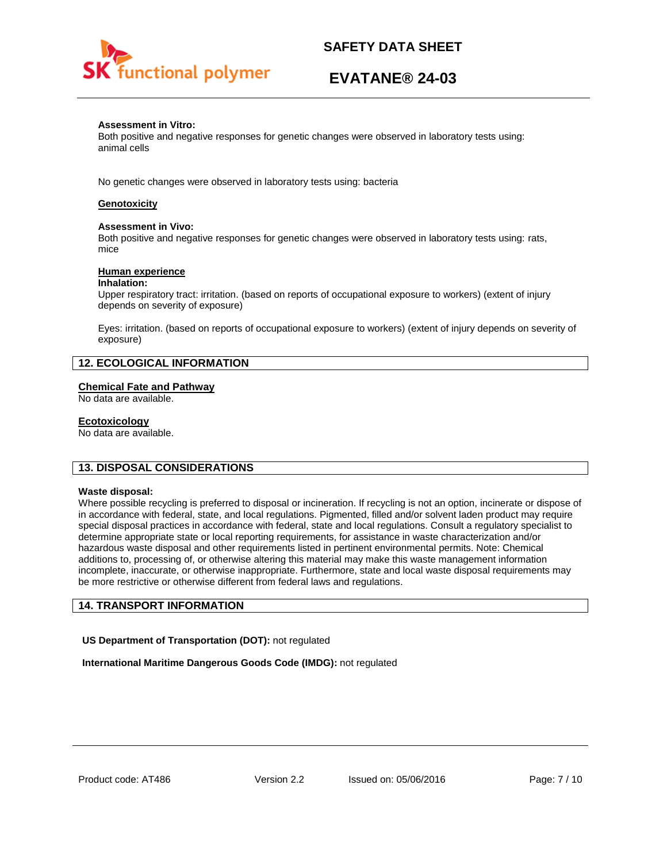

# **EVATANE® 24-03**

### **Assessment in Vitro:**

Both positive and negative responses for genetic changes were observed in laboratory tests using: animal cells

No genetic changes were observed in laboratory tests using: bacteria

## **Genotoxicity**

### **Assessment in Vivo:**

Both positive and negative responses for genetic changes were observed in laboratory tests using: rats, mice

### **Human experience**

### **Inhalation:**

Upper respiratory tract: irritation. (based on reports of occupational exposure to workers) (extent of injury depends on severity of exposure)

Eyes: irritation. (based on reports of occupational exposure to workers) (extent of injury depends on severity of exposure)

## **12. ECOLOGICAL INFORMATION**

## **Chemical Fate and Pathway**

No data are available.

### **Ecotoxicology**

No data are available.

## **13. DISPOSAL CONSIDERATIONS**

### **Waste disposal:**

Where possible recycling is preferred to disposal or incineration. If recycling is not an option, incinerate or dispose of in accordance with federal, state, and local regulations. Pigmented, filled and/or solvent laden product may require special disposal practices in accordance with federal, state and local regulations. Consult a regulatory specialist to determine appropriate state or local reporting requirements, for assistance in waste characterization and/or hazardous waste disposal and other requirements listed in pertinent environmental permits. Note: Chemical additions to, processing of, or otherwise altering this material may make this waste management information incomplete, inaccurate, or otherwise inappropriate. Furthermore, state and local waste disposal requirements may be more restrictive or otherwise different from federal laws and regulations.

# **14. TRANSPORT INFORMATION**

**US Department of Transportation (DOT):** not regulated

**International Maritime Dangerous Goods Code (IMDG):** not regulated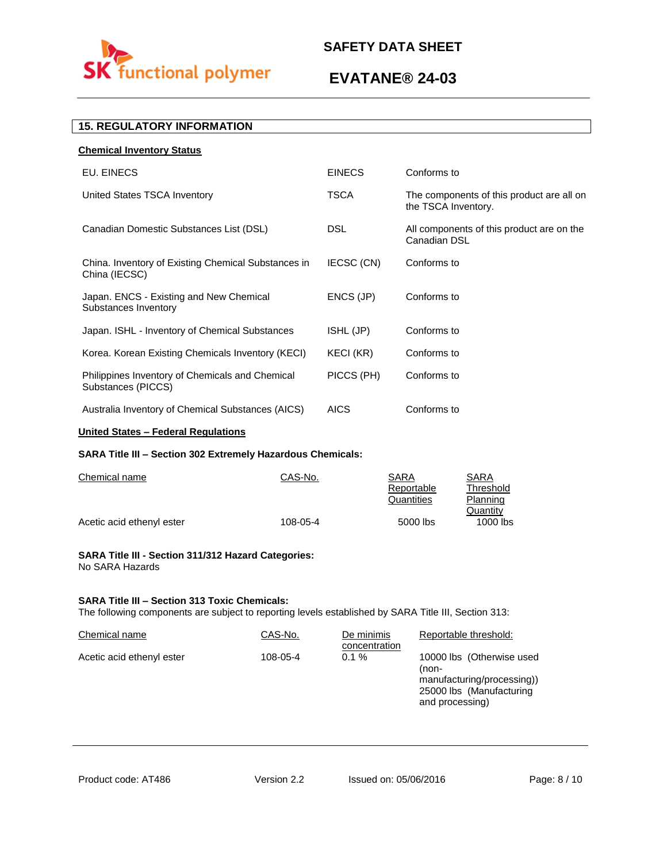

# **EVATANE® 24-03**

# **15. REGULATORY INFORMATION**

| <b>Chemical Inventory Status</b>                                      |               |                                                                  |
|-----------------------------------------------------------------------|---------------|------------------------------------------------------------------|
| EU. EINECS                                                            | <b>EINECS</b> | Conforms to                                                      |
| United States TSCA Inventory                                          | TSCA          | The components of this product are all on<br>the TSCA Inventory. |
| Canadian Domestic Substances List (DSL)                               | DSL.          | All components of this product are on the<br>Canadian DSL        |
| China. Inventory of Existing Chemical Substances in<br>China (IECSC)  | IECSC (CN)    | Conforms to                                                      |
| Japan. ENCS - Existing and New Chemical<br>Substances Inventory       | ENCS (JP)     | Conforms to                                                      |
| Japan. ISHL - Inventory of Chemical Substances                        | ISHL (JP)     | Conforms to                                                      |
| Korea. Korean Existing Chemicals Inventory (KECI)                     | KECI (KR)     | Conforms to                                                      |
| Philippines Inventory of Chemicals and Chemical<br>Substances (PICCS) | PICCS (PH)    | Conforms to                                                      |
| Australia Inventory of Chemical Substances (AICS)                     | <b>AICS</b>   | Conforms to                                                      |
|                                                                       |               |                                                                  |

# **United States – Federal Regulations**

## **SARA Title III – Section 302 Extremely Hazardous Chemicals:**

| Chemical name             | CAS-No.  | SARA       | SARA       |
|---------------------------|----------|------------|------------|
|                           |          | Reportable | Threshold  |
|                           |          | Quantities | Planning   |
|                           |          |            | Quantity   |
| Acetic acid ethenyl ester | 108-05-4 | 5000 lbs   | $1000$ lbs |

### **SARA Title III - Section 311/312 Hazard Categories:**  No SARA Hazards

## **SARA Title III – Section 313 Toxic Chemicals:**

The following components are subject to reporting levels established by SARA Title III, Section 313:

| Chemical name             | CAS-No.  | De minimis<br>concentration | Reportable threshold:                                                                                           |
|---------------------------|----------|-----------------------------|-----------------------------------------------------------------------------------------------------------------|
| Acetic acid ethenyl ester | 108-05-4 | $0.1 \%$                    | 10000 lbs (Otherwise used<br>(non-<br>manufacturing/processing))<br>25000 lbs (Manufacturing<br>and processing) |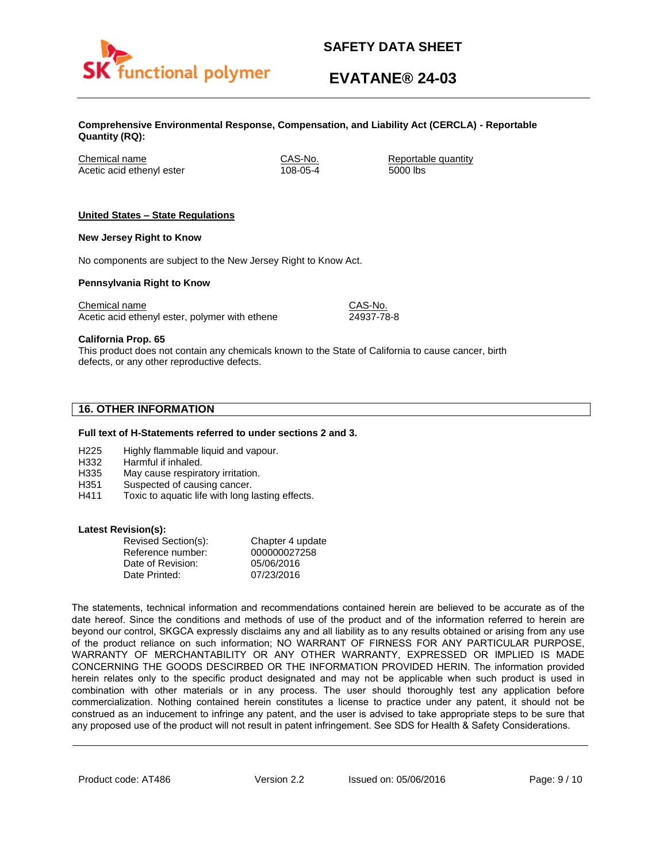

# **EVATANE® 24-03**

**Comprehensive Environmental Response, Compensation, and Liability Act (CERCLA) - Reportable Quantity (RQ):**

Chemical name CAS-No. Reportable quantity Acetic acid ethenyl ester 108-05-4 5000 lbs

## **United States – State Regulations**

### **New Jersey Right to Know**

No components are subject to the New Jersey Right to Know Act.

### **Pennsylvania Right to Know**

Chemical name Chemical name CAS-No. Acetic acid ethenyl ester, polymer with ethene 24937-78-8

**California Prop. 65**

This product does not contain any chemicals known to the State of California to cause cancer, birth defects, or any other reproductive defects.

# **16. OTHER INFORMATION**

### **Full text of H-Statements referred to under sections 2 and 3.**

- H225 Highly flammable liquid and vapour.
- H332 Harmful if inhaled.
- H335 May cause respiratory irritation.
- H351 Suspected of causing cancer.
- H411 Toxic to aquatic life with long lasting effects.

### **Latest Revision(s):**

| Revised Section(s): | Chapter 4 update |
|---------------------|------------------|
| Reference number:   | 000000027258     |
| Date of Revision:   | 05/06/2016       |
| Date Printed:       | 07/23/2016       |

The statements, technical information and recommendations contained herein are believed to be accurate as of the date hereof. Since the conditions and methods of use of the product and of the information referred to herein are beyond our control, SKGCA expressly disclaims any and all liability as to any results obtained or arising from any use of the product reliance on such information; NO WARRANT OF FIRNESS FOR ANY PARTICULAR PURPOSE, WARRANTY OF MERCHANTABILITY OR ANY OTHER WARRANTY, EXPRESSED OR IMPLIED IS MADE CONCERNING THE GOODS DESCIRBED OR THE INFORMATION PROVIDED HERIN. The information provided herein relates only to the specific product designated and may not be applicable when such product is used in combination with other materials or in any process. The user should thoroughly test any application before commercialization. Nothing contained herein constitutes a license to practice under any patent, it should not be construed as an inducement to infringe any patent, and the user is advised to take appropriate steps to be sure that any proposed use of the product will not result in patent infringement. See SDS for Health & Safety Considerations.

Product code: AT486 Version 2.2 Issued on: 05/06/2016 Page: 9/10